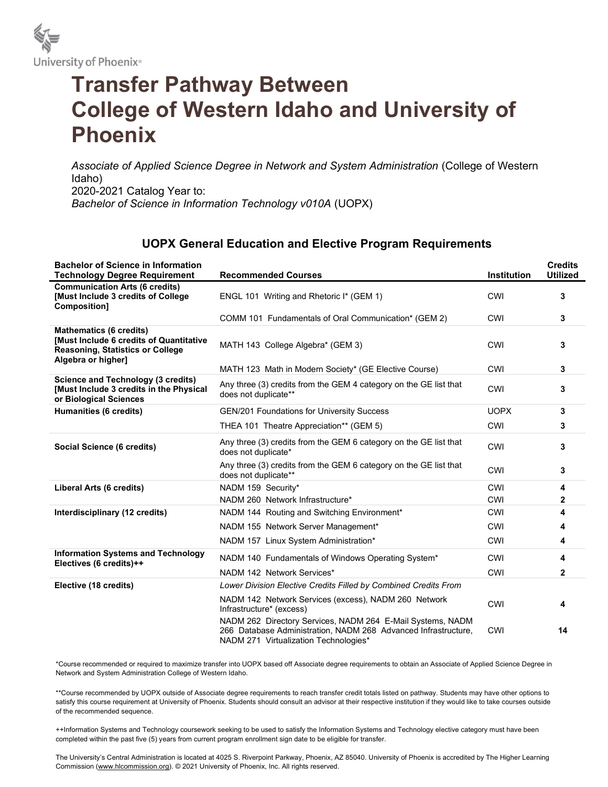

## Transfer Pathway Between College of Western Idaho and University of Phoenix

Associate of Applied Science Degree in Network and System Administration (College of Western Idaho) 2020-2021 Catalog Year to: Bachelor of Science in Information Technology v010A (UOPX)

## UOPX General Education and Elective Program Requirements

| <b>Bachelor of Science in Information</b><br><b>Technology Degree Requirement</b>                                                                 | <b>Recommended Courses</b>                                                                                                                                            | <b>Institution</b> | <b>Credits</b><br><b>Utilized</b> |
|---------------------------------------------------------------------------------------------------------------------------------------------------|-----------------------------------------------------------------------------------------------------------------------------------------------------------------------|--------------------|-----------------------------------|
| <b>Communication Arts (6 credits)</b><br>[Must Include 3 credits of College]<br>Composition]                                                      | ENGL 101 Writing and Rhetoric I* (GEM 1)                                                                                                                              | CWI                | 3                                 |
|                                                                                                                                                   | COMM 101 Fundamentals of Oral Communication* (GEM 2)                                                                                                                  | <b>CWI</b>         | 3                                 |
| <b>Mathematics (6 credits)</b><br><b>[Must Include 6 credits of Quantitative</b><br><b>Reasoning, Statistics or College</b><br>Algebra or higher] | MATH 143 College Algebra* (GEM 3)                                                                                                                                     | <b>CWI</b>         | 3                                 |
|                                                                                                                                                   | MATH 123 Math in Modern Society* (GE Elective Course)                                                                                                                 | <b>CWI</b>         | 3                                 |
| Science and Technology (3 credits)<br>[Must Include 3 credits in the Physical<br>or Biological Sciences                                           | Any three (3) credits from the GEM 4 category on the GE list that<br>does not duplicate**                                                                             | <b>CWI</b>         | 3                                 |
| Humanities (6 credits)                                                                                                                            | <b>GEN/201 Foundations for University Success</b>                                                                                                                     | <b>UOPX</b>        | 3                                 |
|                                                                                                                                                   | THEA 101 Theatre Appreciation** (GEM 5)                                                                                                                               | <b>CWI</b>         | 3                                 |
| Social Science (6 credits)                                                                                                                        | Any three (3) credits from the GEM 6 category on the GE list that<br>does not duplicate*                                                                              | <b>CWI</b>         | 3                                 |
|                                                                                                                                                   | Any three (3) credits from the GEM 6 category on the GE list that<br>does not duplicate**                                                                             | <b>CWI</b>         | 3                                 |
| Liberal Arts (6 credits)                                                                                                                          | NADM 159 Security*                                                                                                                                                    | <b>CWI</b>         | 4                                 |
|                                                                                                                                                   | NADM 260 Network Infrastructure*                                                                                                                                      | CWI                | 2                                 |
| Interdisciplinary (12 credits)                                                                                                                    | NADM 144 Routing and Switching Environment*                                                                                                                           | <b>CWI</b>         | 4                                 |
|                                                                                                                                                   | NADM 155 Network Server Management*                                                                                                                                   | CWI                | 4                                 |
|                                                                                                                                                   | NADM 157 Linux System Administration*                                                                                                                                 | <b>CWI</b>         | 4                                 |
| <b>Information Systems and Technology</b><br>Electives (6 credits)++                                                                              | NADM 140 Fundamentals of Windows Operating System*                                                                                                                    | <b>CWI</b>         | 4                                 |
|                                                                                                                                                   | NADM 142 Network Services*                                                                                                                                            | CWI                | $\mathbf{2}$                      |
| Elective (18 credits)                                                                                                                             | Lower Division Elective Credits Filled by Combined Credits From                                                                                                       |                    |                                   |
|                                                                                                                                                   | NADM 142 Network Services (excess), NADM 260 Network<br>Infrastructure* (excess)                                                                                      | <b>CWI</b>         | 4                                 |
|                                                                                                                                                   | NADM 262 Directory Services, NADM 264 E-Mail Systems, NADM<br>266 Database Administration, NADM 268 Advanced Infrastructure,<br>NADM 271 Virtualization Technologies* | <b>CWI</b>         | 14                                |

\*Course recommended or required to maximize transfer into UOPX based off Associate degree requirements to obtain an Associate of Applied Science Degree in Network and System Administration College of Western Idaho.

\*\*Course recommended by UOPX outside of Associate degree requirements to reach transfer credit totals listed on pathway. Students may have other options to satisfy this course requirement at University of Phoenix. Students should consult an advisor at their respective institution if they would like to take courses outside of the recommended sequence.

++Information Systems and Technology coursework seeking to be used to satisfy the Information Systems and Technology elective category must have been completed within the past five (5) years from current program enrollment sign date to be eligible for transfer.

The University's Central Administration is located at 4025 S. Riverpoint Parkway, Phoenix, AZ 85040. University of Phoenix is accredited by The Higher Learning Commission (www.hlcommission.org). © 2021 University of Phoenix, Inc. All rights reserved.